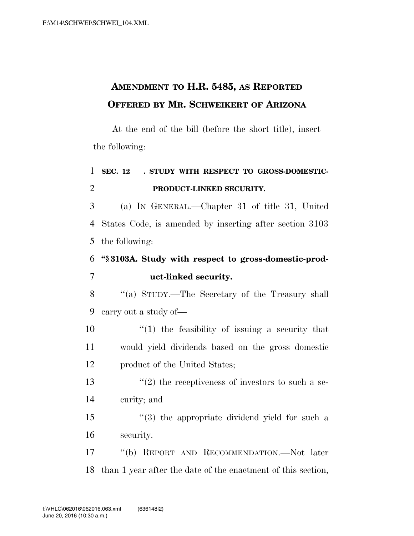## **AMENDMENT TO H.R. 5485, AS REPORTED OFFERED BY MR. SCHWEIKERT OF ARIZONA**

At the end of the bill (before the short title), insert the following:

## 1 SEC. 12 . STUDY WITH RESPECT TO GROSS-DOMESTIC-2 **PRODUCT-LINKED SECURITY.**

3 (a) IN GENERAL.—Chapter 31 of title 31, United 4 States Code, is amended by inserting after section 3103 5 the following:

## 6 **''§ 3103A. Study with respect to gross-domestic-prod-**7 **uct-linked security.**

8 ''(a) STUDY.—The Secretary of the Treasury shall 9 carry out a study of—

10  $\frac{1}{2}$  (1) the feasibility of issuing a security that 11 would yield dividends based on the gross domestic 12 product of the United States;

13  $\frac{1}{2}$  the receptiveness of investors to such a se-14 curity; and

15 ''(3) the appropriate dividend yield for such a 16 security.

17 ''(b) REPORT AND RECOMMENDATION.—Not later 18 than 1 year after the date of the enactment of this section,